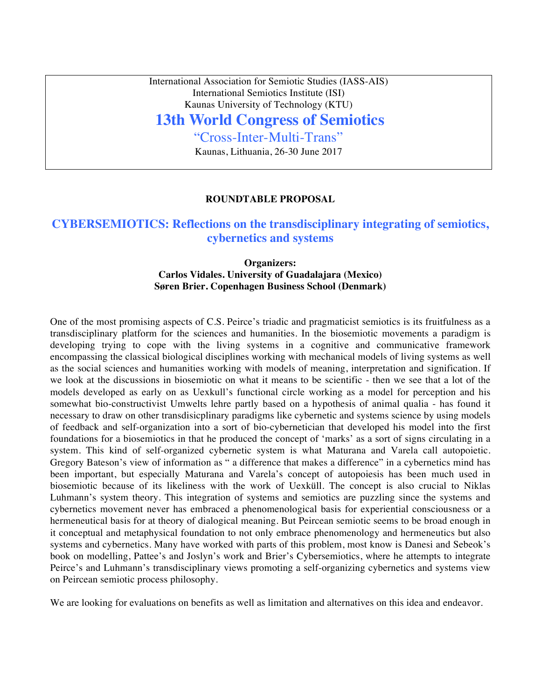International Association for Semiotic Studies (IASS-AIS) International Semiotics Institute (ISI) Kaunas University of Technology (KTU)

# **13th World Congress of Semiotics**

"Cross-Inter-Multi-Trans"

Kaunas, Lithuania, 26-30 June 2017

### **ROUNDTABLE PROPOSAL**

## **CYBERSEMIOTICS: Reflections on the transdisciplinary integrating of semiotics, cybernetics and systems**

## **Organizers: Carlos Vidales. University of Guadalajara (Mexico) Søren Brier. Copenhagen Business School (Denmark)**

One of the most promising aspects of C.S. Peirce's triadic and pragmaticist semiotics is its fruitfulness as a transdisciplinary platform for the sciences and humanities. In the biosemiotic movements a paradigm is developing trying to cope with the living systems in a cognitive and communicative framework encompassing the classical biological disciplines working with mechanical models of living systems as well as the social sciences and humanities working with models of meaning, interpretation and signification. If we look at the discussions in biosemiotic on what it means to be scientific - then we see that a lot of the models developed as early on as Uexkull's functional circle working as a model for perception and his somewhat bio-constructivist Umwelts lehre partly based on a hypothesis of animal qualia - has found it necessary to draw on other transdisicplinary paradigms like cybernetic and systems science by using models of feedback and self-organization into a sort of bio-cybernetician that developed his model into the first foundations for a biosemiotics in that he produced the concept of 'marks' as a sort of signs circulating in a system. This kind of self-organized cybernetic system is what Maturana and Varela call autopoietic. Gregory Bateson's view of information as " a difference that makes a difference" in a cybernetics mind has been important, but especially Maturana and Varela's concept of autopoiesis has been much used in biosemiotic because of its likeliness with the work of Uexküll. The concept is also crucial to Niklas Luhmann's system theory. This integration of systems and semiotics are puzzling since the systems and cybernetics movement never has embraced a phenomenological basis for experiential consciousness or a hermeneutical basis for at theory of dialogical meaning. But Peircean semiotic seems to be broad enough in it conceptual and metaphysical foundation to not only embrace phenomenology and hermeneutics but also systems and cybernetics. Many have worked with parts of this problem, most know is Danesi and Sebeok's book on modelling, Pattee's and Joslyn's work and Brier's Cybersemiotics, where he attempts to integrate Peirce's and Luhmann's transdisciplinary views promoting a self-organizing cybernetics and systems view on Peircean semiotic process philosophy.

We are looking for evaluations on benefits as well as limitation and alternatives on this idea and endeavor.